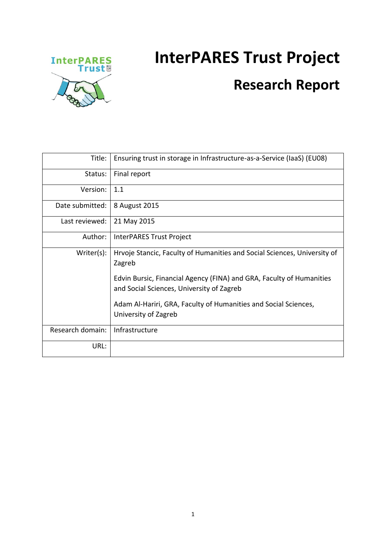## **InterPARES Trust Project**



## **Research Report**

| Title:           | Ensuring trust in storage in Infrastructure-as-a-Service (IaaS) (EU08)                                            |
|------------------|-------------------------------------------------------------------------------------------------------------------|
| Status:          | Final report                                                                                                      |
| Version:         | 1.1                                                                                                               |
| Date submitted:  | 8 August 2015                                                                                                     |
| Last reviewed:   | 21 May 2015                                                                                                       |
| Author:          | InterPARES Trust Project                                                                                          |
| Writer(s):       | Hrvoje Stancic, Faculty of Humanities and Social Sciences, University of<br>Zagreb                                |
|                  | Edvin Bursic, Financial Agency (FINA) and GRA, Faculty of Humanities<br>and Social Sciences, University of Zagreb |
|                  | Adam Al-Hariri, GRA, Faculty of Humanities and Social Sciences,<br>University of Zagreb                           |
| Research domain: | Infrastructure                                                                                                    |
| URL:             |                                                                                                                   |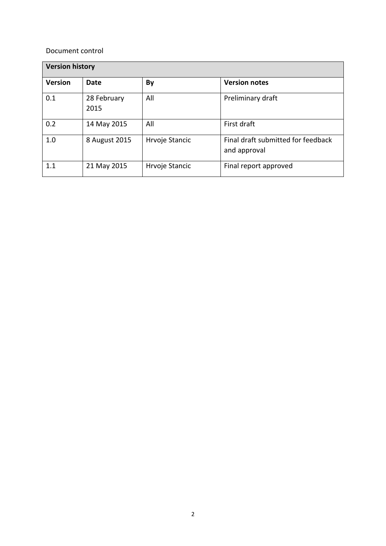### Document control

| <b>Version history</b> |                     |                |                                                    |  |  |  |
|------------------------|---------------------|----------------|----------------------------------------------------|--|--|--|
| <b>Version</b>         | Date                | By             | <b>Version notes</b>                               |  |  |  |
| 0.1                    | 28 February<br>2015 | All            | Preliminary draft                                  |  |  |  |
| 0.2                    | 14 May 2015         | All            | First draft                                        |  |  |  |
| 1.0                    | 8 August 2015       | Hrvoje Stancic | Final draft submitted for feedback<br>and approval |  |  |  |
| 1.1                    | 21 May 2015         | Hrvoje Stancic | Final report approved                              |  |  |  |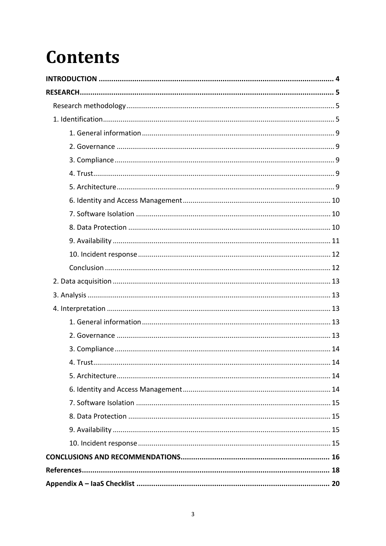# **Contents**

| 4 Trust | 14 |
|---------|----|
|         |    |
|         |    |
|         |    |
|         |    |
|         |    |
|         |    |
|         |    |
|         |    |
|         |    |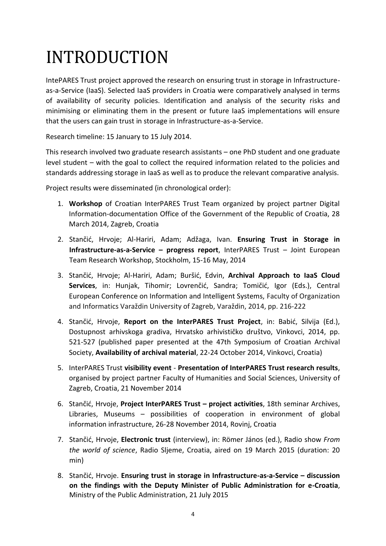# <span id="page-3-0"></span>INTRODUCTION

IntePARES Trust project approved the research on ensuring trust in storage in Infrastructureas-a-Service (IaaS). Selected IaaS providers in Croatia were comparatively analysed in terms of availability of security policies. Identification and analysis of the security risks and minimising or eliminating them in the present or future IaaS implementations will ensure that the users can gain trust in storage in Infrastructure-as-a-Service.

Research timeline: 15 January to 15 July 2014.

This research involved two graduate research assistants – one PhD student and one graduate level student – with the goal to collect the required information related to the policies and standards addressing storage in IaaS as well as to produce the relevant comparative analysis.

Project results were disseminated (in chronological order):

- 1. **Workshop** of Croatian InterPARES Trust Team organized by project partner Digital Information-documentation Office of the Government of the Republic of Croatia, 28 March 2014, Zagreb, Croatia
- 2. Stančić, Hrvoje; Al-Hariri, Adam; Adžaga, Ivan. **Ensuring Trust in Storage in Infrastructure-as-a-Service – progress report**, InterPARES Trust – Joint European Team Research Workshop, Stockholm, 15-16 May, 2014
- 3. Stančić, Hrvoje; Al-Hariri, Adam; Buršić, Edvin, **Archival Approach to IaaS Cloud Services**, in: Hunjak, Tihomir; Lovrenčić, Sandra; Tomičić, Igor (Eds.), Central European Conference on Information and Intelligent Systems, Faculty of Organization and Informatics Varaždin University of Zagreb, Varaždin, 2014, pp. 216-222
- 4. Stančić, Hrvoje, **Report on the InterPARES Trust Project**, in: Babić, Silvija (Ed.), Dostupnost arhivskoga gradiva, Hrvatsko arhivističko društvo, Vinkovci, 2014, pp. 521-527 (published paper presented at the 47th Symposium of Croatian Archival Society, **Availability of archival material**, 22-24 October 2014, Vinkovci, Croatia)
- 5. InterPARES Trust **visibility event Presentation of InterPARES Trust research results**, organised by project partner Faculty of Humanities and Social Sciences, University of Zagreb, Croatia, 21 November 2014
- 6. Stančić, Hrvoje, **Project InterPARES Trust – project activities**, 18th seminar Archives, Libraries, Museums – possibilities of cooperation in environment of global information infrastructure, 26-28 November 2014, Rovinj, Croatia
- 7. Stančić, Hrvoje, **Electronic trust** (interview), in: Römer János (ed.), Radio show *From the world of science*, Radio Sljeme, Croatia, aired on 19 March 2015 (duration: 20 min)
- 8. Stančić, Hrvoje. **Ensuring trust in storage in Infrastructure-as-a-Service – discussion on the findings with the Deputy Minister of Public Administration for e-Croatia**, Ministry of the Public Administration, 21 July 2015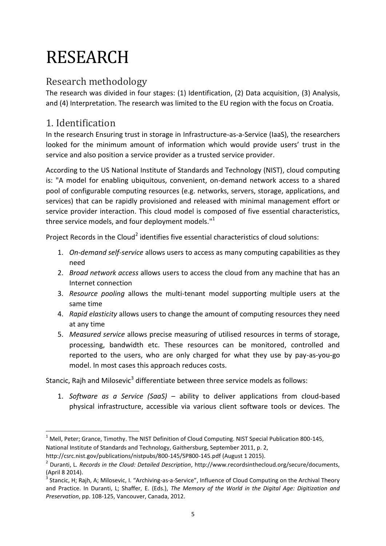# <span id="page-4-0"></span>RESEARCH

## <span id="page-4-1"></span>Research methodology

The research was divided in four stages: (1) Identification, (2) Data acquisition, (3) Analysis, and (4) Interpretation. The research was limited to the EU region with the focus on Croatia.

## <span id="page-4-2"></span>1. Identification

**.** 

In the research Ensuring trust in storage in Infrastructure-as-a-Service (IaaS), the researchers looked for the minimum amount of information which would provide users' trust in the service and also position a service provider as a trusted service provider.

According to the US National Institute of Standards and Technology (NIST), cloud computing is: "A model for enabling ubiquitous, convenient, on-demand network access to a shared pool of configurable computing resources (e.g. networks, servers, storage, applications, and services) that can be rapidly provisioned and released with minimal management effort or service provider interaction. This cloud model is composed of five essential characteristics, three service models, and four deployment models."<sup>1</sup>

Project Records in the Cloud<sup>2</sup> identifies five essential characteristics of cloud solutions:

- 1. *On-demand self-service* allows users to access as many computing capabilities as they need
- 2. *Broad network access* allows users to access the cloud from any machine that has an Internet connection
- 3. *Resource pooling* allows the multi-tenant model supporting multiple users at the same time
- 4. *Rapid elasticity* allows users to change the amount of computing resources they need at any time
- 5. *Measured service* allows precise measuring of utilised resources in terms of storage, processing, bandwidth etc. These resources can be monitored, controlled and reported to the users, who are only charged for what they use by pay-as-you-go model. In most cases this approach reduces costs.

Stancic, Rajh and Milosevic<sup>3</sup> differentiate between three service models as follows:

1. *Software as a Service (SaaS)* – ability to deliver applications from cloud-based physical infrastructure, accessible via various client software tools or devices. The

 $1$  Mell, Peter; Grance, Timothy. The NIST Definition of Cloud Computing. NIST Special Publication 800-145, National Institute of Standards and Technology, Gaithersburg, September 2011, p. 2,

http://csrc.nist.gov/publications/nistpubs/800-145/SP800-145.pdf (August 1 2015).

<sup>2</sup> Duranti, L*. Records in the Cloud: Detailed Description*, http://www.recordsinthecloud.org/secure/documents, (April 8 2014).

<sup>&</sup>lt;sup>3</sup> Stancic, H; Rajh, A; Milosevic, I. "Archiving-as-a-Service", Influence of Cloud Computing on the Archival Theory and Practice. In Duranti, L; Shaffer, E. (Eds.), *The Memory of the World in the Digital Age: Digitization and Preservation*, pp. 108-125, Vancouver, Canada, 2012.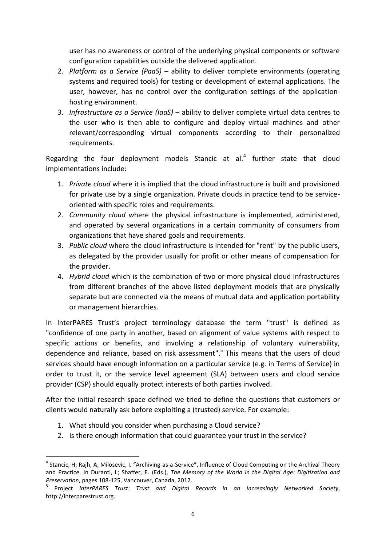user has no awareness or control of the underlying physical components or software configuration capabilities outside the delivered application.

- 2. *Platform as a Service (PaaS)* ability to deliver complete environments (operating systems and required tools) for testing or development of external applications. The user, however, has no control over the configuration settings of the applicationhosting environment.
- 3. *Infrastructure as a Service (IaaS)* ability to deliver complete virtual data centres to the user who is then able to configure and deploy virtual machines and other relevant/corresponding virtual components according to their personalized requirements.

Regarding the four deployment models Stancic at al. $<sup>4</sup>$  further state that cloud</sup> implementations include:

- 1. *Private cloud* where it is implied that the cloud infrastructure is built and provisioned for private use by a single organization. Private clouds in practice tend to be serviceoriented with specific roles and requirements.
- 2. *Community cloud* where the physical infrastructure is implemented, administered, and operated by several organizations in a certain community of consumers from organizations that have shared goals and requirements.
- 3. *Public cloud* where the cloud infrastructure is intended for "rent" by the public users, as delegated by the provider usually for profit or other means of compensation for the provider.
- 4. *Hybrid cloud* which is the combination of two or more physical cloud infrastructures from different branches of the above listed deployment models that are physically separate but are connected via the means of mutual data and application portability or management hierarchies.

In InterPARES Trust's project terminology database the term "trust" is defined as "confidence of one party in another, based on alignment of value systems with respect to specific actions or benefits, and involving a relationship of voluntary vulnerability, dependence and reliance, based on risk assessment".<sup>5</sup> This means that the users of cloud services should have enough information on a particular service (e.g. in Terms of Service) in order to trust it, or the service level agreement (SLA) between users and cloud service provider (CSP) should equally protect interests of both parties involved.

After the initial research space defined we tried to define the questions that customers or clients would naturally ask before exploiting a (trusted) service. For example:

- 1. What should you consider when purchasing a Cloud service?
- 2. Is there enough information that could guarantee your trust in the service?

**<sup>.</sup>** <sup>4</sup> Stancic, H; Rajh, A; Milosevic, I. "Archiving-as-a-Service", Influence of Cloud Computing on the Archival Theory and Practice. In Duranti, L; Shaffer, E. (Eds.), *The Memory of the World in the Digital Age: Digitization and Preservation*, pages 108-125, Vancouver, Canada, 2012.

<sup>5</sup> Project *InterPARES Trust: Trust and Digital Records in an Increasingly Networked Society*, http://interparestrust.org.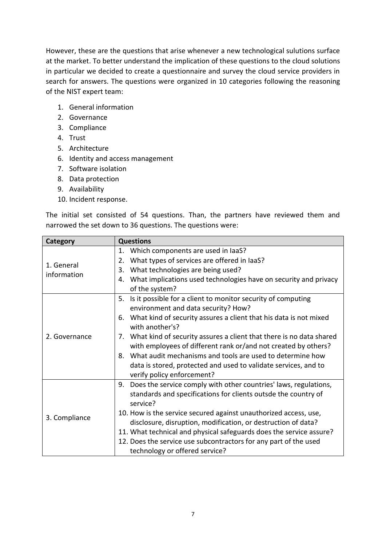However, these are the questions that arise whenever a new technological sulutions surface at the market. To better understand the implication of these questions to the cloud solutions in particular we decided to create a questionnaire and survey the cloud service providers in search for answers. The questions were organized in 10 categories following the reasoning of the NIST expert team:

- 1. General information
- 2. Governance
- 3. Compliance
- 4. Trust
- 5. Architecture
- 6. Identity and access management
- 7. Software isolation
- 8. Data protection
- 9. Availability
- 10. Incident response.

The initial set consisted of 54 questions. Than, the partners have reviewed them and narrowed the set down to 36 questions. The questions were:

| Category                  | <b>Questions</b>                                                                                                                                                                                                                                                                                                                                                                                                                                                                                                        |  |  |  |  |
|---------------------------|-------------------------------------------------------------------------------------------------------------------------------------------------------------------------------------------------------------------------------------------------------------------------------------------------------------------------------------------------------------------------------------------------------------------------------------------------------------------------------------------------------------------------|--|--|--|--|
| 1. General<br>information | Which components are used in laaS?<br>1.<br>What types of services are offered in laaS?<br>2.<br>What technologies are being used?<br>3.<br>What implications used technologies have on security and privacy<br>4.<br>of the system?                                                                                                                                                                                                                                                                                    |  |  |  |  |
| 2. Governance             | Is it possible for a client to monitor security of computing<br>5.<br>environment and data security? How?<br>What kind of security assures a client that his data is not mixed<br>6.<br>with another's?<br>7. What kind of security assures a client that there is no data shared<br>with employees of different rank or/and not created by others?<br>What audit mechanisms and tools are used to determine how<br>8.<br>data is stored, protected and used to validate services, and to<br>verify policy enforcement? |  |  |  |  |
| 3. Compliance             | 9. Does the service comply with other countries' laws, regulations,<br>standards and specifications for clients outsde the country of<br>service?<br>10. How is the service secured against unauthorized access, use,<br>disclosure, disruption, modification, or destruction of data?<br>11. What technical and physical safeguards does the service assure?<br>12. Does the service use subcontractors for any part of the used<br>technology or offered service?                                                     |  |  |  |  |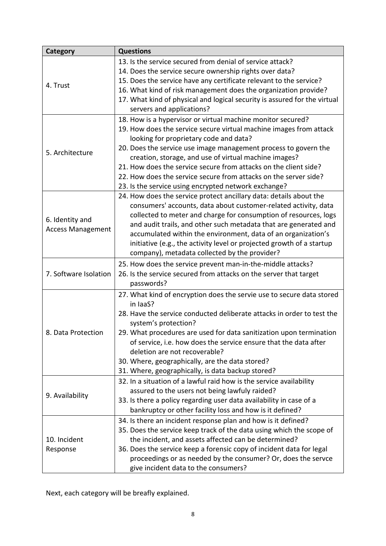| Category                 | <b>Questions</b>                                                          |  |  |  |  |  |  |
|--------------------------|---------------------------------------------------------------------------|--|--|--|--|--|--|
|                          | 13. Is the service secured from denial of service attack?                 |  |  |  |  |  |  |
|                          | 14. Does the service secure ownership rights over data?                   |  |  |  |  |  |  |
|                          | 15. Does the service have any certificate relevant to the service?        |  |  |  |  |  |  |
| 4. Trust                 | 16. What kind of risk management does the organization provide?           |  |  |  |  |  |  |
|                          | 17. What kind of physical and logical security is assured for the virtual |  |  |  |  |  |  |
|                          | servers and applications?                                                 |  |  |  |  |  |  |
|                          | 18. How is a hypervisor or virtual machine monitor secured?               |  |  |  |  |  |  |
|                          | 19. How does the service secure virtual machine images from attack        |  |  |  |  |  |  |
|                          | looking for proprietary code and data?                                    |  |  |  |  |  |  |
|                          | 20. Does the service use image management process to govern the           |  |  |  |  |  |  |
| 5. Architecture          | creation, storage, and use of virtual machine images?                     |  |  |  |  |  |  |
|                          | 21. How does the service secure from attacks on the client side?          |  |  |  |  |  |  |
|                          | 22. How does the service secure from attacks on the server side?          |  |  |  |  |  |  |
|                          | 23. Is the service using encrypted network exchange?                      |  |  |  |  |  |  |
|                          | 24. How does the service protect ancillary data: details about the        |  |  |  |  |  |  |
|                          | consumers' accounts, data about customer-related activity, data           |  |  |  |  |  |  |
|                          | collected to meter and charge for consumption of resources, logs          |  |  |  |  |  |  |
| 6. Identity and          | and audit trails, and other such metadata that are generated and          |  |  |  |  |  |  |
| <b>Access Management</b> | accumulated within the environment, data of an organization's             |  |  |  |  |  |  |
|                          | initiative (e.g., the activity level or projected growth of a startup     |  |  |  |  |  |  |
|                          | company), metadata collected by the provider?                             |  |  |  |  |  |  |
|                          | 25. How does the service prevent man-in-the-middle attacks?               |  |  |  |  |  |  |
| 7. Software Isolation    | 26. Is the service secured from attacks on the server that target         |  |  |  |  |  |  |
|                          | passwords?                                                                |  |  |  |  |  |  |
|                          | 27. What kind of encryption does the servie use to secure data stored     |  |  |  |  |  |  |
|                          | in laaS?                                                                  |  |  |  |  |  |  |
|                          | 28. Have the service conducted deliberate attacks in order to test the    |  |  |  |  |  |  |
|                          | system's protection?                                                      |  |  |  |  |  |  |
| 8. Data Protection       | 29. What procedures are used for data sanitization upon termination       |  |  |  |  |  |  |
|                          | of service, i.e. how does the service ensure that the data after          |  |  |  |  |  |  |
|                          | deletion are not recoverable?                                             |  |  |  |  |  |  |
|                          | 30. Where, geographically, are the data stored?                           |  |  |  |  |  |  |
|                          | 31. Where, geographically, is data backup stored?                         |  |  |  |  |  |  |
|                          | 32. In a situation of a lawful raid how is the service availability       |  |  |  |  |  |  |
|                          | assured to the users not being lawfuly raided?                            |  |  |  |  |  |  |
| 9. Availability          | 33. Is there a policy regarding user data availability in case of a       |  |  |  |  |  |  |
|                          | bankruptcy or other facility loss and how is it defined?                  |  |  |  |  |  |  |
|                          | 34. Is there an incident response plan and how is it defined?             |  |  |  |  |  |  |
|                          | 35. Does the service keep track of the data using which the scope of      |  |  |  |  |  |  |
| 10. Incident             | the incident, and assets affected can be determined?                      |  |  |  |  |  |  |
| Response                 | 36. Does the service keep a forensic copy of incident data for legal      |  |  |  |  |  |  |
|                          | proceedings or as needed by the consumer? Or, does the servce             |  |  |  |  |  |  |
|                          | give incident data to the consumers?                                      |  |  |  |  |  |  |
|                          |                                                                           |  |  |  |  |  |  |

Next, each category will be breafly explained.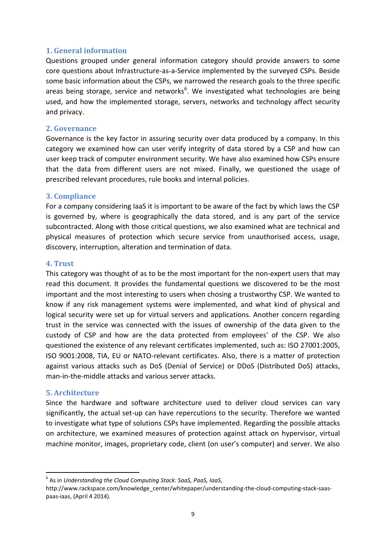### <span id="page-8-0"></span>**1. General information**

Questions grouped under general information category should provide answers to some core questions about Infrastructure-as-a-Service implemented by the surveyed CSPs. Beside some basic information about the CSPs, we narrowed the research goals to the three specific areas being storage, service and networks<sup>6</sup>. We investigated what technologies are being used, and how the implemented storage, servers, networks and technology affect security and privacy.

### <span id="page-8-1"></span>**2. Governance**

Governance is the key factor in assuring security over data produced by a company. In this category we examined how can user verify integrity of data stored by a CSP and how can user keep track of computer environment security. We have also examined how CSPs ensure that the data from different users are not mixed. Finally, we questioned the usage of prescribed relevant procedures, rule books and internal policies.

## <span id="page-8-2"></span>**3. Compliance**

For a company considering IaaS it is important to be aware of the fact by which laws the CSP is governed by, where is geographically the data stored, and is any part of the service subcontracted. Along with those critical questions, we also examined what are technical and physical measures of protection which secure service from unauthorised access, usage, discovery, interruption, alteration and termination of data.

## <span id="page-8-3"></span>**4. Trust**

This category was thought of as to be the most important for the non-expert users that may read this document. It provides the fundamental questions we discovered to be the most important and the most interesting to users when chosing a trustworthy CSP. We wanted to know if any risk management systems were implemented, and what kind of physical and logical security were set up for virtual servers and applications. Another concern regarding trust in the service was connected with the issues of ownership of the data given to the custody of CSP and how are the data protected from employees' of the CSP. We also questioned the existence of any relevant certificates implemented, such as: ISO 27001:2005, ISO 9001:2008, TIA, EU or NATO-relevant certificates. Also, there is a matter of protection against various attacks such as DoS (Denial of Service) or DDoS (Distributed DoS) attacks, man-in-the-middle attacks and various server attacks.

#### <span id="page-8-4"></span>**5. Architecture**

Since the hardware and software architecture used to deliver cloud services can vary significantly, the actual set-up can have repercutions to the security. Therefore we wanted to investigate what type of solutions CSPs have implemented. Regarding the possible attacks on architecture, we examined measures of protection against attack on hypervisor, virtual machine monitor, images, proprietary code, client (on user's computer) and server. We also

**<sup>.</sup>** 6 As in *Understanding the Cloud Computing Stack: SaaS, PaaS, IaaS*,

http://www.rackspace.com/knowledge\_center/whitepaper/understanding-the-cloud-computing-stack-saaspaas-iaas, (April 4 2014).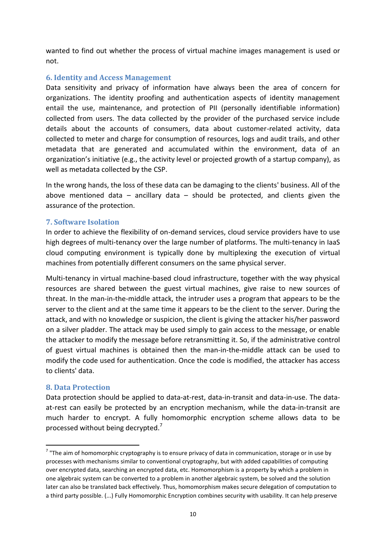wanted to find out whether the process of virtual machine images management is used or not.

## <span id="page-9-0"></span>**6. Identity and Access Management**

Data sensitivity and privacy of information have always been the area of concern for organizations. The identity proofing and authentication aspects of identity management entail the use, maintenance, and protection of PII (personally identifiable information) collected from users. The data collected by the provider of the purchased service include details about the accounts of consumers, data about customer-related activity, data collected to meter and charge for consumption of resources, logs and audit trails, and other metadata that are generated and accumulated within the environment, data of an organization's initiative (e.g., the activity level or projected growth of a startup company), as well as metadata collected by the CSP.

In the wrong hands, the loss of these data can be damaging to the clients' business. All of the above mentioned data  $-$  ancillary data  $-$  should be protected, and clients given the assurance of the protection.

## <span id="page-9-1"></span>**7. Software Isolation**

In order to achieve the flexibility of on-demand services, cloud service providers have to use high degrees of multi-tenancy over the large number of platforms. The multi-tenancy in IaaS cloud computing environment is typically done by multiplexing the execution of virtual machines from potentially different consumers on the same physical server.

Multi-tenancy in virtual machine-based cloud infrastructure, together with the way physical resources are shared between the guest virtual machines, give raise to new sources of threat. In the man-in-the-middle attack, the intruder uses a program that appears to be the [server](http://whatis.techtarget.com/definition/server) to the [client](http://searchenterprisedesktop.techtarget.com/definition/client) and at the same time it appears to be the client to the server. During the attack, and with no knowledge or suspicion, the client is giving the attacker his/her password on a silver pladder. The attack may be used simply to gain access to the message, or enable the attacker to modify the message before retransmitting it. So, if the administrative control of guest virtual machines is obtained then the man-in-the-middle attack can be used to modify the code used for authentication. Once the code is modified, the attacker has access to clients' data.

#### <span id="page-9-2"></span>**8. Data Protection**

**.** 

Data protection should be applied to data-at-rest, data-in-transit and data-in-use. The dataat-rest can easily be protected by an encryption mechanism, while the data-in-transit are much harder to encrypt. A fully homomorphic encryption scheme allows data to be processed without being decrypted.<sup>7</sup>

 $^7$  "The aim of homomorphic cryptography is to ensure privacy of data in communication, storage or in use by processes with mechanisms similar to conventional cryptography, but with added capabilities of computing over encrypted data, searching an encrypted data, etc. Homomorphism is a property by which a problem in one algebraic system can be converted to a problem in another algebraic system, be solved and the solution later can also be translated back effectively. Thus, homomorphism makes secure delegation of computation to a third party possible. (...) Fully Homomorphic Encryption combines security with usability. It can help preserve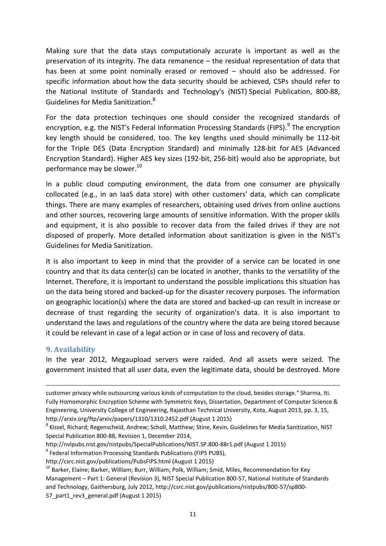Making sure that the data stays computationaly accurate is important as well as the preservation of its integrity. The data remanence – the residual representation of data that has been at some point nominally erased or removed – should also be addressed. For specific information about how the data security should be achieved, CSPs should refer to the National Institute of Standards and Technology's (NIST) Special Publication, 800-88, Guidelines for Media Sanitization.<sup>8</sup>

For the data protection techinques one should consider the recognized standards of encryption, e.g. the NIST's Federal Information Processing Standards (FIPS).<sup>9</sup> The encryption key length should be considered, too. The key lengths used should minimally be 112-bit for the Triple DES (Data Encryption Standard) and minimally 128-bit for AES (Advanced Encryption Standard). Higher AES key sizes (192-bit, 256-bit) would also be appropriate, but performance may be slower. 10

In a public cloud computing environment, the data from one consumer are physically collocated (e.g., in an IaaS data store) with other customers' data, which can complicate things. There are many examples of researchers, obtaining used drives from online auctions and other sources, recovering large amounts of sensitive information. With the proper skills and equipment, it is also possible to recover data from the failed drives if they are not disposed of properly. More detailed information about sanitization is given in the NIST's Guidelines for Media Sanitization.

It is also important to keep in mind that the provider of a service can be located in one country and that its data center(s) can be located in another, thanks to the versatility of the Internet. Therefore, it is important to understand the possible implications this situation has on the data being stored and backed-up for the disaster recovery purposes. The information on geographic location(s) where the data are stored and backed-up can result in increase or decrease of trust regarding the security of organization's data. It is also important to understand the laws and regulations of the country where the data are being stored because it could be relevant in case of a legal action or in case of loss and recovery of data.

## <span id="page-10-0"></span>**9. Availability**

**.** 

In the year 2012, Megaupload servers were raided. And all assets were seized. The government insisted that all user data, even the legitimate data, should be destroyed. More

customer privacy while outsourcing various kinds of computation to the cloud, besides storage." Sharma, Iti. Fully Homomorphic Encryption Scheme with Symmetric Keys, Dissertation, Department of Computer Science & Engineering, University College of Engineering, Rajasthan Technical University, Kota, August 2013, pp. 3, 15, http://arxiv.org/ftp/arxiv/papers/1310/1310.2452.pdf (August 1 2015)

<sup>&</sup>lt;sup>8</sup> Kissel, Richard; Regenscheid, Andrew; Scholl, Matthew; Stine, Kevin, Guidelines for Media Sanitization, NIST Special Publication 800-88, Revision 1, December 2014,

http://nvlpubs.nist.gov/nistpubs/SpecialPublications/NIST.SP.800-88r1.pdf (August 1 2015)

<sup>&</sup>lt;sup>9</sup> Federal Information Processing Standards Publications (FIPS PUBS),

http://csrc.nist.gov/publications/PubsFIPS.html (August 1 2015)

<sup>&</sup>lt;sup>10</sup> Barker, Elaine; Barker, William; Burr, William; Polk, William; Smid, Miles, Recommendation for Key Management – Part 1: General (Revision 3), NIST Special Publication 800-57, National Institute of Standards and Technology, Gaithersburg, July 2012, http://csrc.nist.gov/publications/nistpubs/800-57/sp800- 57\_part1\_rev3\_general.pdf (August 1 2015)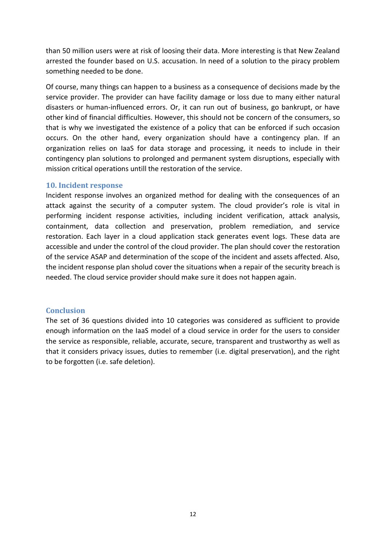than 50 million users were at risk of loosing their data. More interesting is that New Zealand arrested the founder based on U.S. accusation. In need of a solution to the piracy problem something needed to be done.

Of course, many things can happen to a business as a consequence of decisions made by the service provider. The provider can have facility damage or loss due to many either natural disasters or human-influenced errors. Or, it can run out of business, go bankrupt, or have other kind of financial difficulties. However, this should not be concern of the consumers, so that is why we investigated the existence of a policy that can be enforced if such occasion occurs. On the other hand, every organization should have a contingency plan. If an organization relies on IaaS for data storage and processing, it needs to include in their contingency plan solutions to prolonged and permanent system disruptions, especially with mission critical operations untill the restoration of the service.

## <span id="page-11-0"></span>**10. Incident response**

Incident response involves an organized method for dealing with the consequences of an attack against the security of a computer system. The cloud provider's role is vital in performing incident response activities, including incident verification, attack analysis, containment, data collection and preservation, problem remediation, and service restoration. Each layer in a cloud application stack generates event logs. These data are accessible and under the control of the cloud provider. The plan should cover the restoration of the service ASAP and determination of the scope of the incident and assets affected. Also, the incident response plan sholud cover the situations when a repair of the security breach is needed. The cloud service provider should make sure it does not happen again.

### <span id="page-11-1"></span>**Conclusion**

The set of 36 questions divided into 10 categories was considered as sufficient to provide enough information on the IaaS model of a cloud service in order for the users to consider the service as responsible, reliable, accurate, secure, transparent and trustworthy as well as that it considers privacy issues, duties to remember (i.e. digital preservation), and the right to be forgotten (i.e. safe deletion).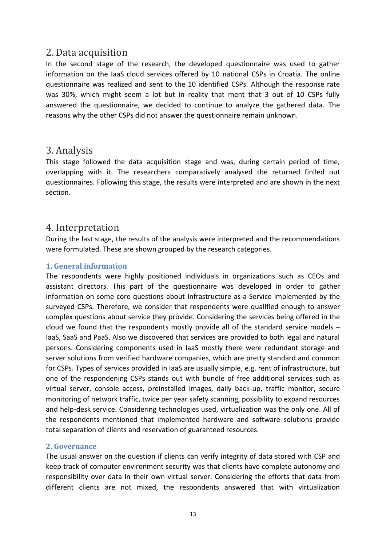## <span id="page-12-0"></span>2. Data acquisition

In the second stage of the research, the developed questionnaire was used to gather information on the IaaS cloud services offered by 10 national CSPs in Croatia. The online questionnaire was realized and sent to the 10 identified CSPs. Although the response rate was 30%, which might seem a lot but in reality that ment that 3 out of 10 CSPs fully answered the questionnaire, we decided to continue to analyze the gathered data. The reasons why the other CSPs did not answer the questionnaire remain unknown.

## <span id="page-12-1"></span>3. Analysis

This stage followed the data acquisition stage and was, during certain period of time, overlapping with it. The researchers comparatively analysed the returned finlled out questionnaires. Following this stage, the results were interpreted and are shown in the next section.

## <span id="page-12-2"></span>4. Interpretation

During the last stage, the results of the analysis were interpreted and the recommendations were formulated. These are shown grouped by the research categories.

## <span id="page-12-3"></span>**1. General information**

The respondents were highly positioned individuals in organizations such as CEOs and assistant directors. This part of the questionnaire was developed in order to gather information on some core questions about Infrastructure-as-a-Service implemented by the surveyed CSPs. Therefore, we consider that respondents were qualified enough to answer complex questions about service they provide. Considering the services being offered in the cloud we found that the respondents mostly provide all of the standard service models – IaaS, SaaS and PaaS. Also we discovered that services are provided to both legal and natural persons. Considering components used in IaaS mostly there were redundant storage and server solutions from verified hardware companies, which are pretty standard and common for CSPs. Types of services provided in IaaS are usually simple, e.g. rent of infrastructure, but one of the respondening CSPs stands out with bundle of free additional services such as virtual server, console access, preinstalled images, daily back-up, traffic monitor, secure monitoring of network traffic, twice per year safety scanning, possibility to expand resources and help-desk service. Considering technologies used, virtualization was the only one. All of the respondents mentioned that implemented hardware and software solutions provide total separation of clients and reservation of guaranteed resources.

## <span id="page-12-4"></span>**2. Governance**

The usual answer on the question if clients can verify integrity of data stored with CSP and keep track of computer environment security was that clients have complete autonomy and responsibility over data in their own virtual server. Considering the efforts that data from different clients are not mixed, the respondents answered that with virtualization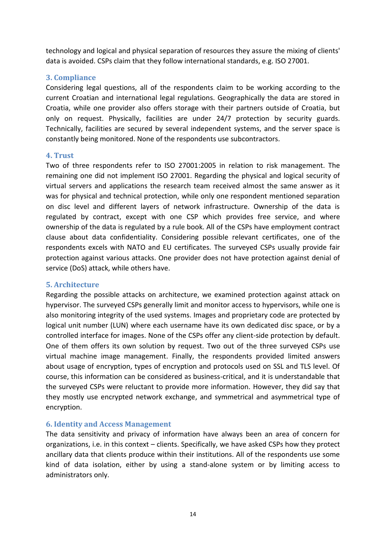technology and logical and physical separation of resources they assure the mixing of clients' data is avoided. CSPs claim that they follow international standards, e.g. ISO 27001.

## <span id="page-13-0"></span>**3. Compliance**

Considering legal questions, all of the respondents claim to be working according to the current Croatian and international legal regulations. Geographically the data are stored in Croatia, while one provider also offers storage with their partners outside of Croatia, but only on request. Physically, facilities are under 24/7 protection by security guards. Technically, facilities are secured by several independent systems, and the server space is constantly being monitored. None of the respondents use subcontractors.

## <span id="page-13-1"></span>**4. Trust**

Two of three respondents refer to ISO 27001:2005 in relation to risk management. The remaining one did not implement ISO 27001. Regarding the physical and logical security of virtual servers and applications the research team received almost the same answer as it was for physical and technical protection, while only one respondent mentioned separation on disc level and different layers of network infrastructure. Ownership of the data is regulated by contract, except with one CSP which provides free service, and where ownership of the data is regulated by a rule book. All of the CSPs have employment contract clause about data confidentiality. Considering possible relevant certificates, one of the respondents excels with NATO and EU certificates*.* The surveyed CSPs usually provide fair protection against various attacks. One provider does not have protection against denial of service (DoS) attack, while others have.

## <span id="page-13-2"></span>**5. Architecture**

Regarding the possible attacks on architecture, we examined protection against attack on hypervisor. The surveyed CSPs generally limit and monitor access to hypervisors, while one is also monitoring integrity of the used systems. Images and proprietary code are protected by logical unit number (LUN) where each username have its own dedicated disc space, or by a controlled interface for images. None of the CSPs offer any client-side protection by default. One of them offers its own solution by request. Two out of the three surveyed CSPs use virtual machine image management. Finally, the respondents provided limited answers about usage of encryption, types of encryption and protocols used on SSL and TLS level. Of course, this information can be considered as business-critical, and it is understandable that the surveyed CSPs were reluctant to provide more information. However, they did say that they mostly use encrypted network exchange, and symmetrical and asymmetrical type of encryption.

## <span id="page-13-3"></span>**6. Identity and Access Management**

The data sensitivity and privacy of information have always been an area of concern for organizations, i.e. in this context – clients. Specifically, we have asked CSPs how they protect ancillary data that clients produce within their institutions. All of the respondents use some kind of data isolation, either by using a stand-alone system or by limiting access to administrators only.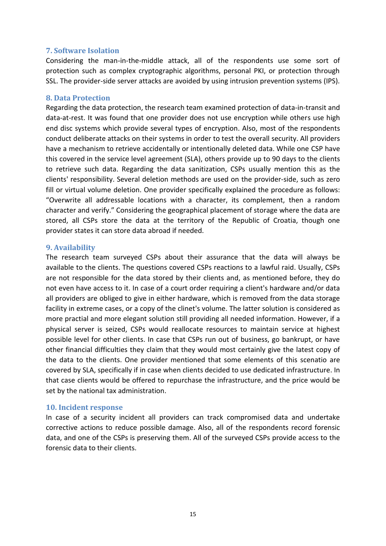#### <span id="page-14-0"></span>**7. Software Isolation**

Considering the man-in-the-middle attack, all of the respondents use some sort of protection such as complex cryptographic algorithms, personal PKI, or protection through SSL. The provider-side server attacks are avoided by using intrusion prevention systems (IPS).

### <span id="page-14-1"></span>**8. Data Protection**

Regarding the data protection, the research team examined protection of data-in-transit and data-at-rest. It was found that one provider does not use encryption while others use high end disc systems which provide several types of encryption. Also, most of the respondents conduct deliberate attacks on their systems in order to test the overall security. All providers have a mechanism to retrieve accidentally or intentionally deleted data. While one CSP have this covered in the service level agreement (SLA), others provide up to 90 days to the clients to retrieve such data. Regarding the data sanitization, CSPs usually mention this as the clients' responsibility. Several deletion methods are used on the provider-side, such as zero fill or virtual volume deletion. One provider specifically explained the procedure as follows: "Overwrite all addressable locations with a character, its complement, then a random character and verify." Considering the geographical placement of storage where the data are stored, all CSPs store the data at the territory of the Republic of Croatia, though one provider states it can store data abroad if needed.

## <span id="page-14-2"></span>**9. Availability**

The research team surveyed CSPs about their assurance that the data will always be available to the clients. The questions covered CSPs reactions to a lawful raid. Usually, CSPs are not responsible for the data stored by their clients and, as mentioned before, they do not even have access to it. In case of a court order requiring a client's hardware and/or data all providers are obliged to give in either hardware, which is removed from the data storage facility in extreme cases, or a copy of the clinet's volume. The latter solution is considered as more practial and more elegant solution still providing all needed information. However, if a physical server is seized, CSPs would reallocate resources to maintain service at highest possible level for other clients. In case that CSPs run out of business, go bankrupt, or have other financial difficulties they claim that they would most certainly give the latest copy of the data to the clients. One provider mentioned that some elements of this scenatio are covered by SLA, specifically if in case when clients decided to use dedicated infrastructure. In that case clients would be offered to repurchase the infrastructure, and the price would be set by the national tax administration.

#### <span id="page-14-3"></span>**10. Incident response**

In case of a security incident all providers can track compromised data and undertake corrective actions to reduce possible damage. Also, all of the respondents record forensic data, and one of the CSPs is preserving them. All of the surveyed CSPs provide access to the forensic data to their clients.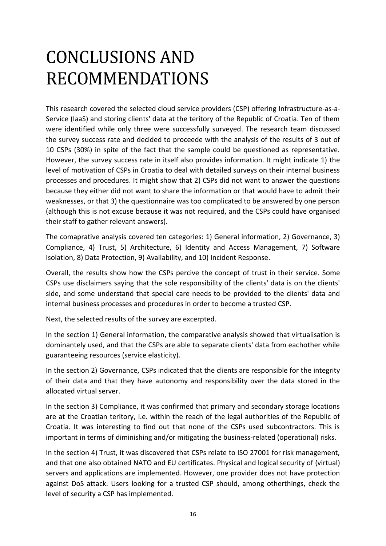## <span id="page-15-0"></span>CONCLUSIONS AND RECOMMENDATIONS

This research covered the selected cloud service providers (CSP) offering Infrastructure-as-a-Service (IaaS) and storing clients' data at the teritory of the Republic of Croatia. Ten of them were identified while only three were successfully surveyed. The research team discussed the survey success rate and decided to proceede with the analysis of the results of 3 out of 10 CSPs (30%) in spite of the fact that the sample could be questioned as representative. However, the survey success rate in itself also provides information. It might indicate 1) the level of motivation of CSPs in Croatia to deal with detailed surveys on their internal business processes and procedures. It might show that 2) CSPs did not want to answer the questions because they either did not want to share the information or that would have to admit their weaknesses, or that 3) the questionnaire was too complicated to be answered by one person (although this is not excuse because it was not required, and the CSPs could have organised their staff to gather relevant answers).

The comaprative analysis covered ten categories: 1) General information, 2) Governance, 3) Compliance, 4) Trust, 5) Architecture, 6) Identity and Access Management, 7) Software Isolation, 8) Data Protection, 9) Availability, and 10) Incident Response.

Overall, the results show how the CSPs percive the concept of trust in their service. Some CSPs use disclaimers saying that the sole responsibility of the clients' data is on the clients' side, and some understand that special care needs to be provided to the clients' data and internal business processes and procedures in order to become a trusted CSP.

Next, the selected results of the survey are excerpted.

In the section 1) General information, the comparative analysis showed that virtualisation is dominantely used, and that the CSPs are able to separate clients' data from eachother while guaranteeing resources (service elasticity).

In the section 2) Governance, CSPs indicated that the clients are responsible for the integrity of their data and that they have autonomy and responsibility over the data stored in the allocated virtual server.

In the section 3) Compliance, it was confirmed that primary and secondary storage locations are at the Croatian teritory, i.e. within the reach of the legal authorities of the Republic of Croatia. It was interesting to find out that none of the CSPs used subcontractors. This is important in terms of diminishing and/or mitigating the business-related (operational) risks.

In the section 4) Trust, it was discovered that CSPs relate to ISO 27001 for risk management, and that one also obtained NATO and EU certificates. Physical and logical security of (virtual) servers and applications are implemented. However, one provider does not have protection against DoS attack. Users looking for a trusted CSP should, among otherthings, check the level of security a CSP has implemented.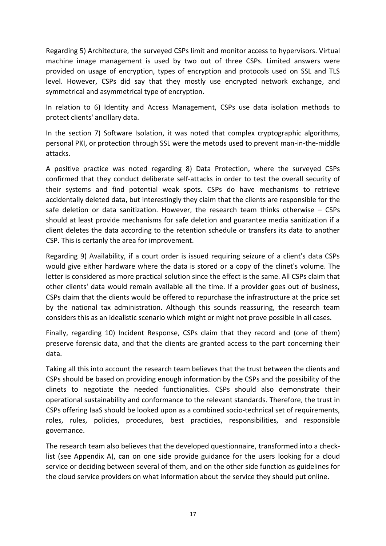Regarding 5) Architecture, the surveyed CSPs limit and monitor access to hypervisors. Virtual machine image management is used by two out of three CSPs. Limited answers were provided on usage of encryption, types of encryption and protocols used on SSL and TLS level. However, CSPs did say that they mostly use encrypted network exchange, and symmetrical and asymmetrical type of encryption.

In relation to 6) Identity and Access Management, CSPs use data isolation methods to protect clients' ancillary data.

In the section 7) Software Isolation, it was noted that complex cryptographic algorithms, personal PKI, or protection through SSL were the metods used to prevent man-in-the-middle attacks.

A positive practice was noted regarding 8) Data Protection, where the surveyed CSPs confirmed that they conduct deliberate self-attacks in order to test the overall security of their systems and find potential weak spots. CSPs do have mechanisms to retrieve accidentally deleted data, but interestingly they claim that the clients are responsible for the safe deletion or data sanitization. However, the research team thinks otherwise – CSPs should at least provide mechanisms for safe deletion and guarantee media sanitization if a client deletes the data according to the retention schedule or transfers its data to another CSP. This is certanly the area for improvement.

Regarding 9) Availability, if a court order is issued requiring seizure of a client's data CSPs would give either hardware where the data is stored or a copy of the clinet's volume. The letter is considered as more practical solution since the effect is the same. All CSPs claim that other clients' data would remain available all the time. If a provider goes out of business, CSPs claim that the clients would be offered to repurchase the infrastructure at the price set by the national tax administration. Although this sounds reassuring, the research team considers this as an idealistic scenario which might or might not prove possible in all cases.

Finally, regarding 10) Incident Response, CSPs claim that they record and (one of them) preserve forensic data, and that the clients are granted access to the part concerning their data.

Taking all this into account the research team believes that the trust between the clients and CSPs should be based on providing enough information by the CSPs and the possibility of the clinets to negotiate the needed functionalities. CSPs should also demonstrate their operational sustainability and conformance to the relevant standards. Therefore, the trust in CSPs offering IaaS should be looked upon as a combined socio-technical set of requirements, roles, rules, policies, procedures, best practicies, responsibilities, and responsible governance.

The research team also believes that the developed questionnaire, transformed into a checklist (see Appendix A), can on one side provide guidance for the users looking for a cloud service or deciding between several of them, and on the other side function as guidelines for the cloud service providers on what information about the service they should put online.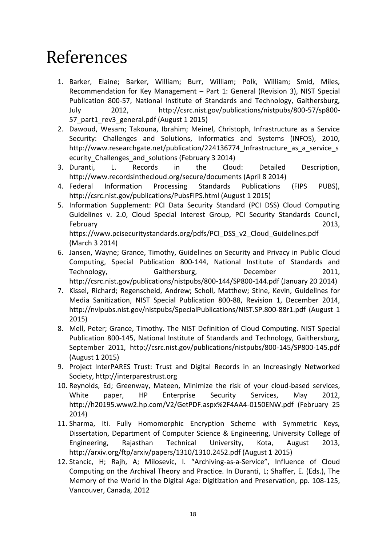## <span id="page-17-0"></span>References

- 1. Barker, Elaine; Barker, William; Burr, William; Polk, William; Smid, Miles, Recommendation for Key Management – Part 1: General (Revision 3), NIST Special Publication 800-57, National Institute of Standards and Technology, Gaithersburg, July 2012, http://csrc.nist.gov/publications/nistpubs/800-57/sp800- 57 part1 rev3 general.pdf (August 1 2015)
- 2. Dawoud, Wesam; Takouna, Ibrahim; Meinel, Christoph, Infrastructure as a Service Security: Challenges and Solutions, Informatics and Systems (INFOS), 2010, http://www.researchgate.net/publication/224136774 Infrastructure as a service s ecurity Challenges and solutions (February 3 2014)
- 3. Duranti, L. Records in the Cloud: Detailed Description, http://www.recordsinthecloud.org/secure/documents (April 8 2014)
- 4. Federal Information Processing Standards Publications (FIPS PUBS), http://csrc.nist.gov/publications/PubsFIPS.html (August 1 2015)
- 5. Information Supplement: PCI Data Security Standard (PCI DSS) Cloud Computing Guidelines v. 2.0, Cloud Special Interest Group, PCI Security Standards Council, February 2013, https://www.pcisecuritystandards.org/pdfs/PCI\_DSS\_v2\_Cloud\_Guidelines.pdf (March 3 2014)
- 6. Jansen, Wayne; Grance, Timothy, Guidelines on Security and Privacy in Public Cloud Computing, Special Publication 800-144, National Institute of Standards and Technology, Gaithersburg, December 2011, http://csrc.nist.gov/publications/nistpubs/800-144/SP800-144.pdf (January 20 2014)
- 7. Kissel, Richard; Regenscheid, Andrew; Scholl, Matthew; Stine, Kevin, Guidelines for Media Sanitization, NIST Special Publication 800-88, Revision 1, December 2014, http://nvlpubs.nist.gov/nistpubs/SpecialPublications/NIST.SP.800-88r1.pdf (August 1 2015)
- 8. Mell, Peter; Grance, Timothy. The NIST Definition of Cloud Computing. NIST Special Publication 800-145, National Institute of Standards and Technology, Gaithersburg, September 2011, http://csrc.nist.gov/publications/nistpubs/800-145/SP800-145.pdf (August 1 2015)
- 9. Project InterPARES Trust: Trust and Digital Records in an Increasingly Networked Society, http://interparestrust.org
- 10. Reynolds, Ed; Greenway, Mateen, Minimize the risk of your cloud-based services, White paper, HP Enterprise Security Services, May 2012, http://h20195.www2.hp.com/V2/GetPDF.aspx%2F4AA4-0150ENW.pdf (February 25 2014)
- 11. Sharma, Iti. Fully Homomorphic Encryption Scheme with Symmetric Keys, Dissertation, Department of Computer Science & Engineering, University College of Engineering, Rajasthan Technical University, Kota, August 2013, http://arxiv.org/ftp/arxiv/papers/1310/1310.2452.pdf (August 1 2015)
- 12. Stancic, H; Rajh, A; Milosevic, I. "Archiving-as-a-Service", Influence of Cloud Computing on the Archival Theory and Practice. In Duranti, L; Shaffer, E. (Eds.), The Memory of the World in the Digital Age: Digitization and Preservation, pp. 108-125, Vancouver, Canada, 2012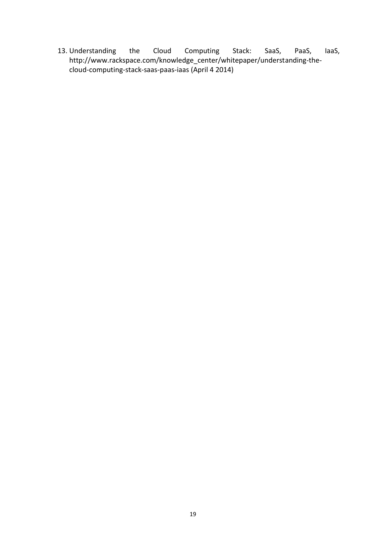13. Understanding the Cloud Computing Stack: SaaS, PaaS, IaaS, http://www.rackspace.com/knowledge\_center/whitepaper/understanding-thecloud-computing-stack-saas-paas-iaas (April 4 2014)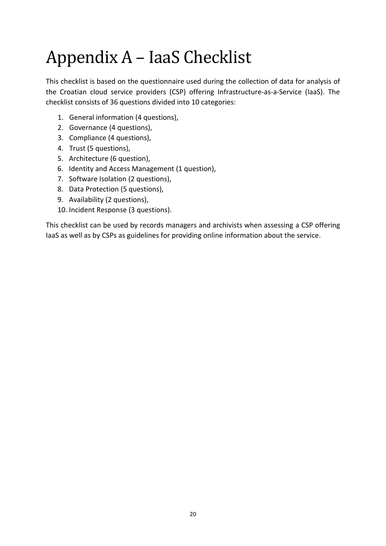# <span id="page-19-0"></span>Appendix A – IaaS Checklist

This checklist is based on the questionnaire used during the collection of data for analysis of the Croatian cloud service providers (CSP) offering Infrastructure-as-a-Service (IaaS). The checklist consists of 36 questions divided into 10 categories:

- 1. General information (4 questions),
- 2. Governance (4 questions),
- 3. Compliance (4 questions),
- 4. Trust (5 questions),
- 5. Architecture (6 question),
- 6. Identity and Access Management (1 question),
- 7. Software Isolation (2 questions),
- 8. Data Protection (5 questions),
- 9. Availability (2 questions),
- 10. Incident Response (3 questions).

This checklist can be used by records managers and archivists when assessing a CSP offering IaaS as well as by CSPs as guidelines for providing online information about the service.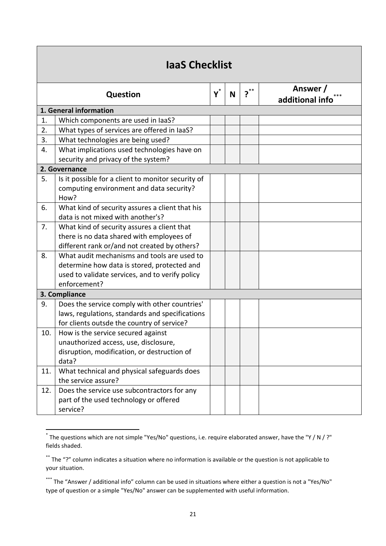| laaS Checklist |                                                                                                        |                |   |   |                             |
|----------------|--------------------------------------------------------------------------------------------------------|----------------|---|---|-----------------------------|
|                | <b>Question</b>                                                                                        | $\mathsf{Y}^*$ | N | ? | Answer /<br>additional info |
|                | 1. General information                                                                                 |                |   |   |                             |
| 1.             | Which components are used in laaS?                                                                     |                |   |   |                             |
| 2.             | What types of services are offered in laaS?                                                            |                |   |   |                             |
| 3.             | What technologies are being used?                                                                      |                |   |   |                             |
| 4.             | What implications used technologies have on                                                            |                |   |   |                             |
|                | security and privacy of the system?                                                                    |                |   |   |                             |
|                | 2. Governance                                                                                          |                |   |   |                             |
| 5.             | Is it possible for a client to monitor security of<br>computing environment and data security?<br>How? |                |   |   |                             |
| 6.             | What kind of security assures a client that his<br>data is not mixed with another's?                   |                |   |   |                             |
| 7.             | What kind of security assures a client that                                                            |                |   |   |                             |
|                | there is no data shared with employees of                                                              |                |   |   |                             |
|                | different rank or/and not created by others?                                                           |                |   |   |                             |
| 8.             | What audit mechanisms and tools are used to                                                            |                |   |   |                             |
|                | determine how data is stored, protected and                                                            |                |   |   |                             |
|                | used to validate services, and to verify policy                                                        |                |   |   |                             |
|                | enforcement?                                                                                           |                |   |   |                             |
|                | 3. Compliance                                                                                          |                |   |   |                             |
| 9.             | Does the service comply with other countries'                                                          |                |   |   |                             |
|                | laws, regulations, standards and specifications                                                        |                |   |   |                             |
|                | for clients outsde the country of service?                                                             |                |   |   |                             |
| 10.            | How is the service secured against                                                                     |                |   |   |                             |
|                | unauthorized access, use, disclosure,                                                                  |                |   |   |                             |
|                | disruption, modification, or destruction of                                                            |                |   |   |                             |
|                | data?                                                                                                  |                |   |   |                             |
| 11.            | What technical and physical safeguards does                                                            |                |   |   |                             |
|                | the service assure?                                                                                    |                |   |   |                             |
| 12.            | Does the service use subcontractors for any                                                            |                |   |   |                             |
|                | part of the used technology or offered                                                                 |                |   |   |                             |
|                | service?                                                                                               |                |   |   |                             |

 \* The questions which are not simple "Yes/No" questions, i.e. require elaborated answer, have the "Y / N / ?" fields shaded.

<sup>\*\*</sup> The "?" column indicates a situation where no information is available or the question is not applicable to your situation.

<sup>\*\*\*</sup> The "Answer / additional info" column can be used in situations where either a question is not a "Yes/No" type of question or a simple "Yes/No" answer can be supplemented with useful information.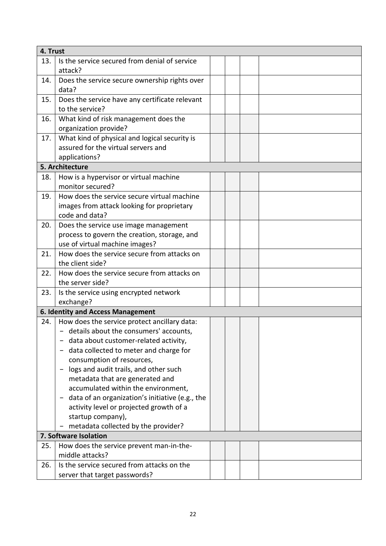| 4. Trust              |                                                     |  |  |  |  |
|-----------------------|-----------------------------------------------------|--|--|--|--|
| 13.                   | Is the service secured from denial of service       |  |  |  |  |
|                       | attack?                                             |  |  |  |  |
| 14.                   | Does the service secure ownership rights over       |  |  |  |  |
|                       | data?                                               |  |  |  |  |
| 15.                   | Does the service have any certificate relevant      |  |  |  |  |
|                       | to the service?                                     |  |  |  |  |
| 16.                   | What kind of risk management does the               |  |  |  |  |
|                       | organization provide?                               |  |  |  |  |
| 17.                   | What kind of physical and logical security is       |  |  |  |  |
|                       | assured for the virtual servers and                 |  |  |  |  |
|                       | applications?                                       |  |  |  |  |
|                       | 5. Architecture                                     |  |  |  |  |
| 18.                   | How is a hypervisor or virtual machine              |  |  |  |  |
|                       | monitor secured?                                    |  |  |  |  |
| 19.                   | How does the service secure virtual machine         |  |  |  |  |
|                       | images from attack looking for proprietary          |  |  |  |  |
|                       | code and data?                                      |  |  |  |  |
| 20.                   | Does the service use image management               |  |  |  |  |
|                       | process to govern the creation, storage, and        |  |  |  |  |
|                       | use of virtual machine images?                      |  |  |  |  |
| 21.                   | How does the service secure from attacks on         |  |  |  |  |
|                       | the client side?                                    |  |  |  |  |
| 22.                   | How does the service secure from attacks on         |  |  |  |  |
|                       | the server side?                                    |  |  |  |  |
| 23.                   | Is the service using encrypted network<br>exchange? |  |  |  |  |
|                       | 6. Identity and Access Management                   |  |  |  |  |
| 24.                   | How does the service protect ancillary data:        |  |  |  |  |
|                       | - details about the consumers' accounts,            |  |  |  |  |
|                       | data about customer-related activity,               |  |  |  |  |
|                       | data collected to meter and charge for              |  |  |  |  |
|                       | consumption of resources,                           |  |  |  |  |
|                       | logs and audit trails, and other such               |  |  |  |  |
|                       | metadata that are generated and                     |  |  |  |  |
|                       | accumulated within the environment,                 |  |  |  |  |
|                       | data of an organization's initiative (e.g., the     |  |  |  |  |
|                       | activity level or projected growth of a             |  |  |  |  |
|                       | startup company),                                   |  |  |  |  |
|                       | metadata collected by the provider?                 |  |  |  |  |
| 7. Software Isolation |                                                     |  |  |  |  |
| 25.                   | How does the service prevent man-in-the-            |  |  |  |  |
|                       | middle attacks?                                     |  |  |  |  |
| 26.                   | Is the service secured from attacks on the          |  |  |  |  |
|                       | server that target passwords?                       |  |  |  |  |